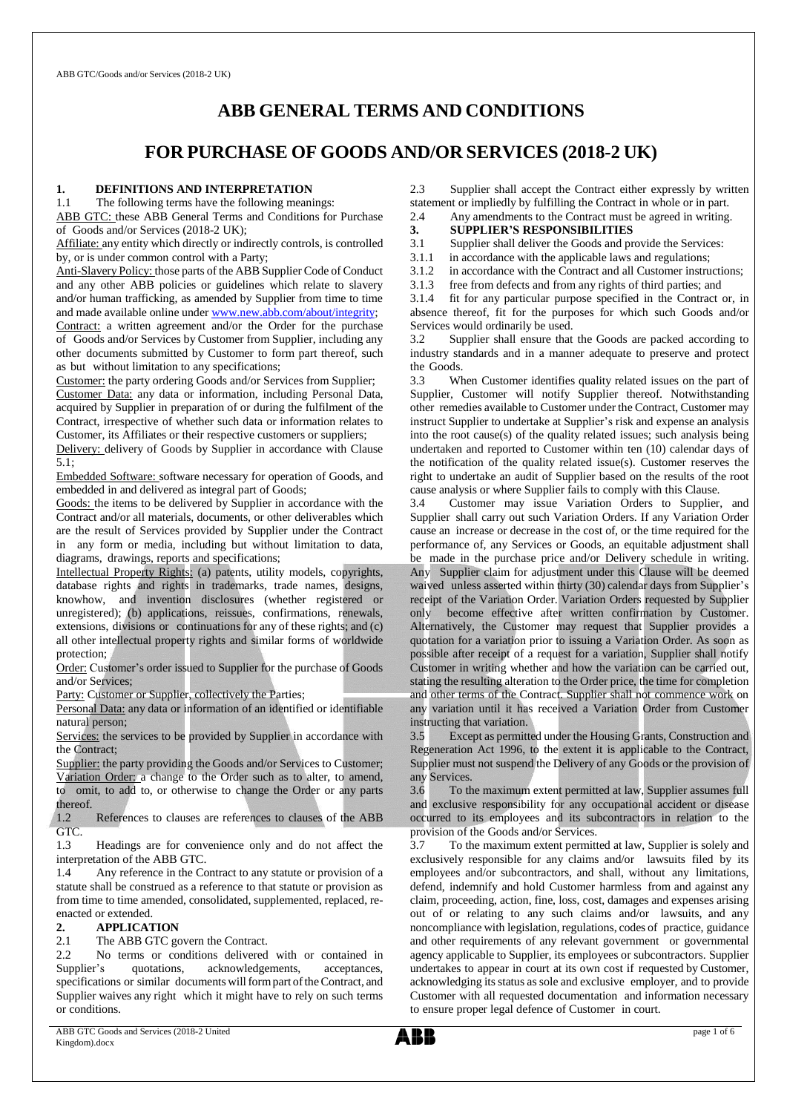# **ABB GENERAL TERMS AND CONDITIONS**

# **FOR PURCHASE OF GOODS AND/OR SERVICES (2018-2 UK)**

#### **1. DEFINITIONS AND INTERPRETATION**

1.1 The following terms have the following meanings:

ABB GTC: these ABB General Terms and Conditions for Purchase of Goods and/or Services (2018-2 UK);

Affiliate: any entity which directly or indirectly controls, is controlled by, or is under common control with a Party;

Anti-Slavery Policy: those parts of the ABB Supplier Code of Conduct and any other ABB policies or guidelines which relate to slavery and/or human trafficking, as amended by Supplier from time to time and made available online unde[r](http://www.abb.com/Integrity.) [www.new.abb.com/about/integrity;](http://www.new.abb.com/about/integrity) Contract: a written agreement and/or the Order for the purchase

of Goods and/or Services by Customer from Supplier, including any other documents submitted by Customer to form part thereof, such as but without limitation to any specifications;

Customer: the party ordering Goods and/or Services from Supplier; Customer Data: any data or information, including Personal Data, acquired by Supplier in preparation of or during the fulfilment of the Contract, irrespective of whether such data or information relates to Customer, its Affiliates or their respective customers or suppliers;

Delivery: delivery of Goods by Supplier in accordance with Clause 5.1;

Embedded Software: software necessary for operation of Goods, and embedded in and delivered as integral part of Goods;

Goods: the items to be delivered by Supplier in accordance with the Contract and/or all materials, documents, or other deliverables which are the result of Services provided by Supplier under the Contract in any form or media, including but without limitation to data, diagrams, drawings, reports and specifications;

Intellectual Property Rights: (a) patents, utility models, copyrights, database rights and rights in trademarks, trade names, designs, knowhow, and invention disclosures (whether registered or unregistered); (b) applications, reissues, confirmations, renewals, extensions, divisions or continuations for any of these rights; and (c) all other intellectual property rights and similar forms of worldwide protection;

Order: Customer's order issued to Supplier for the purchase of Goods and/or Services;

Party: Customer or Supplier, collectively the Parties;

Personal Data: any data or information of an identified or identifiable natural person;

Services: the services to be provided by Supplier in accordance with the Contract;

Supplier: the party providing the Goods and/or Services to Customer; Variation Order: a change to the Order such as to alter, to amend, to omit, to add to, or otherwise to change the Order or any parts thereof.

1.2 References to clauses are references to clauses of the ABB GTC.

1.3 Headings are for convenience only and do not affect the interpretation of the ABB GTC.

1.4 Any reference in the Contract to any statute or provision of a statute shall be construed as a reference to that statute or provision as from time to time amended, consolidated, supplemented, replaced, reenacted or extended.

# 2. **APPLICATION**<br>2.1 The ABB GTC go

The ABB GTC govern the Contract.

2.2 No terms or conditions delivered with or contained in Supplier's quotations, acknowledgements, acceptances, specifications or similar documents will form part of the Contract, and Supplier waives any right which it might have to rely on such terms or conditions.

2.3 Supplier shall accept the Contract either expressly by written statement or impliedly by fulfilling the Contract in whole or in part.

- 2.4 Any amendments to the Contract must be agreed in writing.
- **3. SUPPLIER'S RESPONSIBILITIES**
- 3.1 Supplier shall deliver the Goods and provide the Services:<br>3.1.1 in accordance with the applicable laws and regulations:
- in accordance with the applicable laws and regulations;
- 3.1.2 in accordance with the Contract and all Customer instructions;
- 3.1.3 free from defects and from any rights of third parties; and<br>3.1.4 fit for any particular purpose specified in the Contract

fit for any particular purpose specified in the Contract or, in absence thereof, fit for the purposes for which such Goods and/or Services would ordinarily be used.

3.2 Supplier shall ensure that the Goods are packed according to industry standards and in a manner adequate to preserve and protect the Goods.

3.3 When Customer identifies quality related issues on the part of Supplier, Customer will notify Supplier thereof. Notwithstanding other remedies available to Customer under the Contract, Customer may instruct Supplier to undertake at Supplier's risk and expense an analysis into the root cause(s) of the quality related issues; such analysis being undertaken and reported to Customer within ten (10) calendar days of the notification of the quality related issue(s). Customer reserves the right to undertake an audit of Supplier based on the results of the root cause analysis or where Supplier fails to comply with this Clause.

Customer may issue Variation Orders to Supplier, and Supplier shall carry out such Variation Orders. If any Variation Order cause an increase or decrease in the cost of, or the time required for the performance of, any Services or Goods, an equitable adjustment shall be made in the purchase price and/or Delivery schedule in writing. Any Supplier claim for adjustment under this Clause will be deemed waived unless asserted within thirty (30) calendar days from Supplier's receipt of the Variation Order. Variation Orders requested by Supplier only become effective after written confirmation by Customer. Alternatively, the Customer may request that Supplier provides a quotation for a variation prior to issuing a Variation Order. As soon as possible after receipt of a request for a variation, Supplier shall notify Customer in writing whether and how the variation can be carried out, stating the resulting alteration to the Order price, the time for completion and other terms of the Contract. Supplier shall not commence work on any variation until it has received a Variation Order from Customer instructing that variation.

3.5 Except as permitted under the Housing Grants, Construction and Regeneration Act 1996, to the extent it is applicable to the Contract, Supplier must not suspend the Delivery of any Goods or the provision of any Services.

3.6 To the maximum extent permitted at law, Supplier assumes full and exclusive responsibility for any occupational accident or disease occurred to its employees and its subcontractors in relation to the provision of the Goods and/or Services.

3.7 To the maximum extent permitted at law, Supplier is solely and exclusively responsible for any claims and/or lawsuits filed by its employees and/or subcontractors, and shall, without any limitations, defend, indemnify and hold Customer harmless from and against any claim, proceeding, action, fine, loss, cost, damages and expenses arising out of or relating to any such claims and/or lawsuits, and any noncompliance with legislation, regulations, codes of practice, guidance and other requirements of any relevant government or governmental agency applicable to Supplier, its employees or subcontractors. Supplier undertakes to appear in court at its own cost if requested by Customer, acknowledging its status as sole and exclusive employer, and to provide Customer with all requested documentation and information necessary to ensure proper legal defence of Customer in court.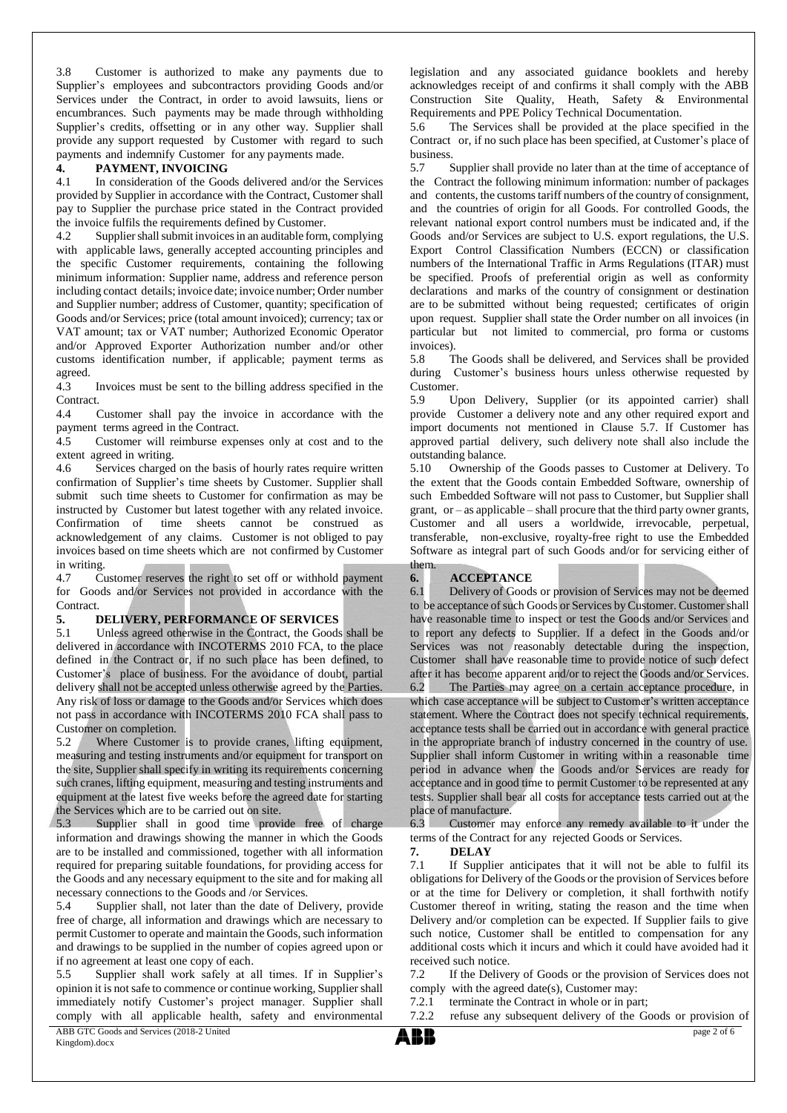3.8 Customer is authorized to make any payments due to Supplier's employees and subcontractors providing Goods and/or Services under the Contract, in order to avoid lawsuits, liens or encumbrances. Such payments may be made through withholding Supplier's credits, offsetting or in any other way. Supplier shall provide any support requested by Customer with regard to such payments and indemnify Customer for any payments made.

# **4. PAYMENT, INVOICING**<br>4.1 In consideration of the Good

In consideration of the Goods delivered and/or the Services provided by Supplier in accordance with the Contract, Customer shall pay to Supplier the purchase price stated in the Contract provided the invoice fulfils the requirements defined by Customer.

4.2 Supplier shall submit invoices in an auditable form, complying with applicable laws, generally accepted accounting principles and the specific Customer requirements, containing the following minimum information: Supplier name, address and reference person including contact details; invoice date; invoice number; Order number and Supplier number; address of Customer, quantity; specification of Goods and/or Services; price (total amount invoiced); currency; tax or VAT amount; tax or VAT number; Authorized Economic Operator and/or Approved Exporter Authorization number and/or other customs identification number, if applicable; payment terms as agreed.<br>4.3

Invoices must be sent to the billing address specified in the Contract.

4.4 Customer shall pay the invoice in accordance with the payment terms agreed in the Contract.

4.5 Customer will reimburse expenses only at cost and to the

extent agreed in writing.<br>4.6 Services charged Services charged on the basis of hourly rates require written confirmation of Supplier's time sheets by Customer. Supplier shall submit such time sheets to Customer for confirmation as may be instructed by Customer but latest together with any related invoice. Confirmation of time sheets cannot be construed as acknowledgement of any claims. Customer is not obliged to pay invoices based on time sheets which are not confirmed by Customer in writing.

4.7 Customer reserves the right to set off or withhold payment for Goods and/or Services not provided in accordance with the Contract.

#### **5. DELIVERY, PERFORMANCE OF SERVICES**

5.1 Unless agreed otherwise in the Contract, the Goods shall be delivered in accordance with INCOTERMS 2010 FCA, to the place defined in the Contract or, if no such place has been defined, to Customer's place of business. For the avoidance of doubt, partial delivery shall not be accepted unless otherwise agreed by the Parties. Any risk of loss or damage to the Goods and/or Services which does not pass in accordance with INCOTERMS 2010 FCA shall pass to Customer on completion.

5.2 Where Customer is to provide cranes, lifting equipment, measuring and testing instruments and/or equipment for transport on the site, Supplier shall specify in writing its requirements concerning such cranes, lifting equipment, measuring and testing instruments and equipment at the latest five weeks before the agreed date for starting the Services which are to be carried out on site.

5.3 Supplier shall in good time provide free of charge information and drawings showing the manner in which the Goods are to be installed and commissioned, together with all information required for preparing suitable foundations, for providing access for the Goods and any necessary equipment to the site and for making all necessary connections to the Goods and /or Services.

5.4 Supplier shall, not later than the date of Delivery, provide free of charge, all information and drawings which are necessary to permit Customer to operate and maintain the Goods, such information and drawings to be supplied in the number of copies agreed upon or if no agreement at least one copy of each.

5.5 Supplier shall work safely at all times. If in Supplier's opinion it is not safe to commence or continue working, Supplier shall immediately notify Customer's project manager. Supplier shall comply with all applicable health, safety and environmental

legislation and any associated guidance booklets and hereby acknowledges receipt of and confirms it shall comply with the ABB Construction Site Quality, Heath, Safety & Environmental Requirements and PPE Policy Technical Documentation.<br>5.6 The Services shall be provided at the place spe

The Services shall be provided at the place specified in the Contract or, if no such place has been specified, at Customer's place of business.

5.7 Supplier shall provide no later than at the time of acceptance of the Contract the following minimum information: number of packages and contents, the customs tariff numbers of the country of consignment, and the countries of origin for all Goods. For controlled Goods, the relevant national export control numbers must be indicated and, if the Goods and/or Services are subject to U.S. export regulations, the U.S. Export Control Classification Numbers (ECCN) or classification numbers of the International Traffic in Arms Regulations (ITAR) must be specified. Proofs of preferential origin as well as conformity declarations and marks of the country of consignment or destination are to be submitted without being requested; certificates of origin upon request. Supplier shall state the Order number on all invoices (in particular but not limited to commercial, pro forma or customs invoices).

5.8 The Goods shall be delivered, and Services shall be provided during Customer's business hours unless otherwise requested by Customer.

5.9 Upon Delivery, Supplier (or its appointed carrier) shall provide Customer a delivery note and any other required export and import documents not mentioned in Clause 5.7. If Customer has approved partial delivery, such delivery note shall also include the outstanding balance.

5.10 Ownership of the Goods passes to Customer at Delivery. To the extent that the Goods contain Embedded Software, ownership of such Embedded Software will not pass to Customer, but Supplier shall grant, or – as applicable – shall procure that the third party owner grants, Customer and all users a worldwide, irrevocable, perpetual, transferable, non-exclusive, royalty-free right to use the Embedded Software as integral part of such Goods and/or for servicing either of them.

#### **6. ACCEPTANCE**

6.1 Delivery of Goods or provision of Services may not be deemed to be acceptance of such Goods or Services by Customer. Customer shall have reasonable time to inspect or test the Goods and/or Services and to report any defects to Supplier. If a defect in the Goods and/or Services was not reasonably detectable during the inspection, Customer shall have reasonable time to provide notice of such defect after it has become apparent and/or to reject the Goods and/or Services. 6.2 The Parties may agree on a certain acceptance procedure, in which case acceptance will be subject to Customer's written acceptance statement. Where the Contract does not specify technical requirements, acceptance tests shall be carried out in accordance with general practice in the appropriate branch of industry concerned in the country of use. Supplier shall inform Customer in writing within a reasonable time period in advance when the Goods and/or Services are ready for acceptance and in good time to permit Customer to be represented at any tests. Supplier shall bear all costs for acceptance tests carried out at the place of manufacture.

6.3 Customer may enforce any remedy available to it under the terms of the Contract for any rejected Goods or Services.

**7. DELAY**

7.1 If Supplier anticipates that it will not be able to fulfil its obligations for Delivery of the Goods or the provision of Services before or at the time for Delivery or completion, it shall forthwith notify Customer thereof in writing, stating the reason and the time when Delivery and/or completion can be expected. If Supplier fails to give such notice, Customer shall be entitled to compensation for any additional costs which it incurs and which it could have avoided had it received such notice.

7.2 If the Delivery of Goods or the provision of Services does not comply with the agreed date(s), Customer may:

7.2.1 terminate the Contract in whole or in part;

7.2.2 refuse any subsequent delivery of the Goods or provision of

page 2 of 6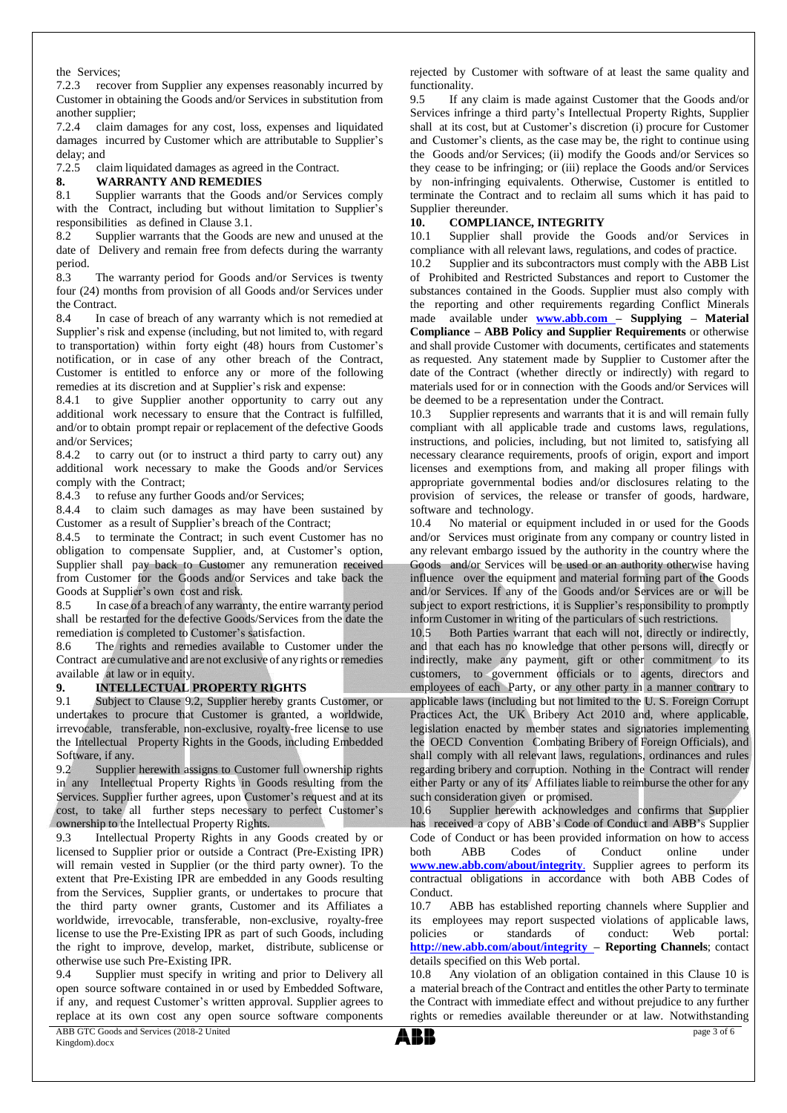the Services;

7.2.3 recover from Supplier any expenses reasonably incurred by Customer in obtaining the Goods and/or Services in substitution from another supplier;

7.2.4 claim damages for any cost, loss, expenses and liquidated damages incurred by Customer which are attributable to Supplier's delay; and

7.2.5 claim liquidated damages as agreed in the Contract.

**8. WARRANTY AND REMEDIES**

8.1 Supplier warrants that the Goods and/or Services comply with the Contract, including but without limitation to Supplier's responsibilities as defined in Clause 3.1.

8.2 Supplier warrants that the Goods are new and unused at the date of Delivery and remain free from defects during the warranty period.

8.3 The warranty period for Goods and/or Services is twenty four (24) months from provision of all Goods and/or Services under the Contract.

8.4 In case of breach of any warranty which is not remedied at Supplier's risk and expense (including, but not limited to, with regard to transportation) within forty eight (48) hours from Customer's notification, or in case of any other breach of the Contract, Customer is entitled to enforce any or more of the following remedies at its discretion and at Supplier's risk and expense:

8.4.1 to give Supplier another opportunity to carry out any additional work necessary to ensure that the Contract is fulfilled, and/or to obtain prompt repair or replacement of the defective Goods and/or Services;

8.4.2 to carry out (or to instruct a third party to carry out) any additional work necessary to make the Goods and/or Services comply with the Contract;

8.4.3 to refuse any further Goods and/or Services;

8.4.4 to claim such damages as may have been sustained by Customer as a result of Supplier's breach of the Contract;

8.4.5 to terminate the Contract; in such event Customer has no obligation to compensate Supplier, and, at Customer's option, Supplier shall pay back to Customer any remuneration received from Customer for the Goods and/or Services and take back the Goods at Supplier's own cost and risk.

8.5 In case of a breach of any warranty, the entire warranty period shall be restarted for the defective Goods/Services from the date the remediation is completed to Customer's satisfaction.

8.6 The rights and remedies available to Customer under the Contract are cumulative and are not exclusive of any rights orremedies available at law or in equity.

# **9. INTELLECTUAL PROPERTY RIGHTS**

9.1 Subject to Clause 9.2, Supplier hereby grants Customer, or undertakes to procure that Customer is granted, a worldwide, irrevocable, transferable, non-exclusive, royalty-free license to use the Intellectual Property Rights in the Goods, including Embedded Software, if any.

9.2 Supplier herewith assigns to Customer full ownership rights in any Intellectual Property Rights in Goods resulting from the Services. Supplier further agrees, upon Customer's request and at its cost, to take all further steps necessary to perfect Customer's ownership to the Intellectual Property Rights.

9.3 Intellectual Property Rights in any Goods created by or licensed to Supplier prior or outside a Contract (Pre-Existing IPR) will remain vested in Supplier (or the third party owner). To the extent that Pre-Existing IPR are embedded in any Goods resulting from the Services, Supplier grants, or undertakes to procure that the third party owner grants, Customer and its Affiliates a worldwide, irrevocable, transferable, non-exclusive, royalty-free license to use the Pre-Existing IPR as part of such Goods, including the right to improve, develop, market, distribute, sublicense or otherwise use such Pre-Existing IPR.

9.4 Supplier must specify in writing and prior to Delivery all open source software contained in or used by Embedded Software, if any, and request Customer's written approval. Supplier agrees to replace at its own cost any open source software components

ABB GTC Goods and Services (2018-2 United Kingdom).docx

rejected by Customer with software of at least the same quality and functionality.

9.5 If any claim is made against Customer that the Goods and/or Services infringe a third party's Intellectual Property Rights, Supplier shall at its cost, but at Customer's discretion (i) procure for Customer and Customer's clients, as the case may be, the right to continue using the Goods and/or Services; (ii) modify the Goods and/or Services so they cease to be infringing; or (iii) replace the Goods and/or Services by non-infringing equivalents. Otherwise, Customer is entitled to terminate the Contract and to reclaim all sums which it has paid to Supplier thereunder.

# **10. COMPLIANCE, INTEGRITY**

10.1 Supplier shall provide the Goods and/or Services in compliance with all relevant laws, regulations, and codes of practice.

10.2 Supplier and its subcontractors must comply with the ABB List of Prohibited and Restricted Substances and report to Customer the substances contained in the Goods. Supplier must also comply with the reporting and other requirements regarding Conflict Minerals made available under **[www.abb.com](http://www.abb.com/) – Supplying – Material Compliance – ABB Policy and Supplier Requirements** or otherwise and shall provide Customer with documents, certificates and statements as requested. Any statement made by Supplier to Customer after the date of the Contract (whether directly or indirectly) with regard to materials used for or in connection with the Goods and/or Services will be deemed to be a representation under the Contract.

10.3 Supplier represents and warrants that it is and will remain fully compliant with all applicable trade and customs laws, regulations, instructions, and policies, including, but not limited to, satisfying all necessary clearance requirements, proofs of origin, export and import licenses and exemptions from, and making all proper filings with appropriate governmental bodies and/or disclosures relating to the provision of services, the release or transfer of goods, hardware, software and technology.

10.4 No material or equipment included in or used for the Goods and/or Services must originate from any company or country listed in any relevant embargo issued by the authority in the country where the Goods and/or Services will be used or an authority otherwise having influence over the equipment and material forming part of the Goods and/or Services. If any of the Goods and/or Services are or will be subject to export restrictions, it is Supplier's responsibility to promptly inform Customer in writing of the particulars of such restrictions.

10.5 Both Parties warrant that each will not, directly or indirectly, and that each has no knowledge that other persons will, directly or indirectly, make any payment, gift or other commitment to its customers, to government officials or to agents, directors and employees of each Party, or any other party in a manner contrary to applicable laws (including but not limited to the U. S. Foreign Corrupt Practices Act, the UK Bribery Act 2010 and, where applicable, legislation enacted by member states and signatories implementing the OECD Convention Combating Bribery of Foreign Officials), and shall comply with all relevant laws, regulations, ordinances and rules regarding bribery and corruption. Nothing in the Contract will render either Party or any of its Affiliates liable to reimburse the other for any such consideration given or promised.

10.6 Supplier herewith acknowledges and confirms that Supplier has received a copy of ABB's Code of Conduct and ABB's Supplier Code of Conduct or has been provided information on how to access both ABB Codes of Conduct online under **www.new.abb.com/about/integrity**. Supplier agrees to perform its contractual obligations in accordance with both ABB Codes of Conduct.

10.7 ABB has established reporting channels where Supplier and its employees may report suspected violations of applicable laws, policies or standards of conduct: Web portal: **<http://new.abb.com/about/integrity> – Reporting Channels**; contact details specified on this Web portal.

10.8 Any violation of an obligation contained in this Clause 10 is a material breach of the Contract and entitles the other Party to terminate the Contract with immediate effect and without prejudice to any further rights or remedies available thereunder or at law. Notwithstanding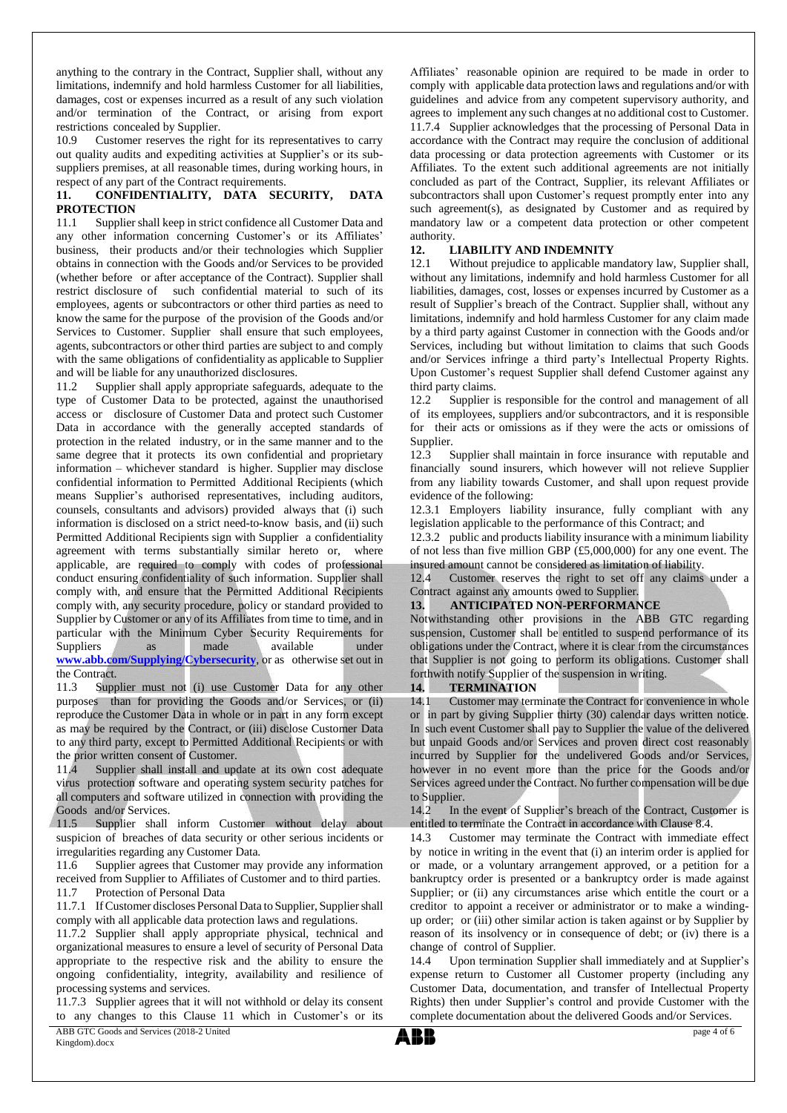anything to the contrary in the Contract, Supplier shall, without any limitations, indemnify and hold harmless Customer for all liabilities, damages, cost or expenses incurred as a result of any such violation and/or termination of the Contract, or arising from export restrictions concealed by Supplier.

10.9 Customer reserves the right for its representatives to carry out quality audits and expediting activities at Supplier's or its subsuppliers premises, at all reasonable times, during working hours, in respect of any part of the Contract requirements.

### **11. CONFIDENTIALITY, DATA SECURITY, DATA PROTECTION**

11.1 Supplier shall keep in strict confidence all Customer Data and any other information concerning Customer's or its Affiliates' business, their products and/or their technologies which Supplier obtains in connection with the Goods and/or Services to be provided (whether before or after acceptance of the Contract). Supplier shall restrict disclosure of such confidential material to such of its employees, agents or subcontractors or other third parties as need to know the same for the purpose of the provision of the Goods and/or Services to Customer. Supplier shall ensure that such employees, agents, subcontractors or other third parties are subject to and comply with the same obligations of confidentiality as applicable to Supplier and will be liable for any unauthorized disclosures.

11.2 Supplier shall apply appropriate safeguards, adequate to the type of Customer Data to be protected, against the unauthorised access or disclosure of Customer Data and protect such Customer Data in accordance with the generally accepted standards of protection in the related industry, or in the same manner and to the same degree that it protects its own confidential and proprietary information – whichever standard is higher. Supplier may disclose confidential information to Permitted Additional Recipients (which means Supplier's authorised representatives, including auditors, counsels, consultants and advisors) provided always that (i) such information is disclosed on a strict need-to-know basis, and (ii) such Permitted Additional Recipients sign with Supplier a confidentiality agreement with terms substantially similar hereto or, where applicable, are required to comply with codes of professional conduct ensuring confidentiality of such information. Supplier shall comply with, and ensure that the Permitted Additional Recipients comply with, any security procedure, policy or standard provided to Supplier by Customer or any of its Affiliates from time to time, and in particular with the Minimum Cyber Security Requirements for Suppliers as made available under **[www.abb.com/Supplying/Cybersecurity](http://www.abb.com/Supplying/Cybersecurity)**, or as otherwise set out in the Contract.

11.3 Supplier must not (i) use Customer Data for any other purposes than for providing the Goods and/or Services, or (ii) reproduce the Customer Data in whole or in part in any form except as may be required by the Contract, or (iii) disclose Customer Data to any third party, except to Permitted Additional Recipients or with the prior written consent of Customer.

11.4 Supplier shall install and update at its own cost adequate virus protection software and operating system security patches for all computers and software utilized in connection with providing the Goods and/or Services.

11.5 Supplier shall inform Customer without delay about suspicion of breaches of data security or other serious incidents or irregularities regarding any Customer Data.

11.6 Supplier agrees that Customer may provide any information received from Supplier to Affiliates of Customer and to third parties. 11.7 Protection of Personal Data

11.7.1 If Customer discloses Personal Data to Supplier, Supplier shall comply with all applicable data protection laws and regulations.

11.7.2 Supplier shall apply appropriate physical, technical and organizational measures to ensure a level of security of Personal Data appropriate to the respective risk and the ability to ensure the ongoing confidentiality, integrity, availability and resilience of processing systems and services.

11.7.3 Supplier agrees that it will not withhold or delay its consent to any changes to this Clause 11 which in Customer's or its

ABB GTC Goods and Services (2018-2 United Kingdom).docx

Affiliates' reasonable opinion are required to be made in order to comply with applicable data protection laws and regulations and/or with guidelines and advice from any competent supervisory authority, and agrees to implement any such changes at no additional cost to Customer. 11.7.4 Supplier acknowledges that the processing of Personal Data in accordance with the Contract may require the conclusion of additional data processing or data protection agreements with Customer or its Affiliates. To the extent such additional agreements are not initially concluded as part of the Contract, Supplier, its relevant Affiliates or subcontractors shall upon Customer's request promptly enter into any such agreement(s), as designated by Customer and as required by mandatory law or a competent data protection or other competent authority.

### **12. LIABILITY AND INDEMNITY**

12.1 Without prejudice to applicable mandatory law, Supplier shall, without any limitations, indemnify and hold harmless Customer for all liabilities, damages, cost, losses or expenses incurred by Customer as a result of Supplier's breach of the Contract. Supplier shall, without any limitations, indemnify and hold harmless Customer for any claim made by a third party against Customer in connection with the Goods and/or Services, including but without limitation to claims that such Goods and/or Services infringe a third party's Intellectual Property Rights. Upon Customer's request Supplier shall defend Customer against any third party claims.

12.2 Supplier is responsible for the control and management of all of its employees, suppliers and/or subcontractors, and it is responsible for their acts or omissions as if they were the acts or omissions of Supplier.

12.3 Supplier shall maintain in force insurance with reputable and financially sound insurers, which however will not relieve Supplier from any liability towards Customer, and shall upon request provide evidence of the following:

12.3.1 Employers liability insurance, fully compliant with any legislation applicable to the performance of this Contract; and

12.3.2 public and products liability insurance with a minimum liability of not less than five million GBP (£5,000,000) for any one event. The insured amount cannot be considered as limitation of liability.

12.4 Customer reserves the right to set off any claims under a Contract against any amounts owed to Supplier.

# **13. ANTICIPATED NON-PERFORMANCE**

Notwithstanding other provisions in the ABB GTC regarding suspension, Customer shall be entitled to suspend performance of its obligations under the Contract, where it is clear from the circumstances that Supplier is not going to perform its obligations. Customer shall forthwith notify Supplier of the suspension in writing.

#### **14. TERMINATION**

14.1 Customer may terminate the Contract for convenience in whole or in part by giving Supplier thirty (30) calendar days written notice. In such event Customer shall pay to Supplier the value of the delivered but unpaid Goods and/or Services and proven direct cost reasonably incurred by Supplier for the undelivered Goods and/or Services, however in no event more than the price for the Goods and/or Services agreed under the Contract. No further compensation will be due to Supplier.

14.2 In the event of Supplier's breach of the Contract, Customer is entitled to terminate the Contract in accordance with Clause 8.4.

14.3 Customer may terminate the Contract with immediate effect by notice in writing in the event that (i) an interim order is applied for or made, or a voluntary arrangement approved, or a petition for a bankruptcy order is presented or a bankruptcy order is made against Supplier; or (ii) any circumstances arise which entitle the court or a creditor to appoint a receiver or administrator or to make a windingup order; or (iii) other similar action is taken against or by Supplier by reason of its insolvency or in consequence of debt; or (iv) there is a change of control of Supplier.

14.4 Upon termination Supplier shall immediately and at Supplier's expense return to Customer all Customer property (including any Customer Data, documentation, and transfer of Intellectual Property Rights) then under Supplier's control and provide Customer with the complete documentation about the delivered Goods and/or Services.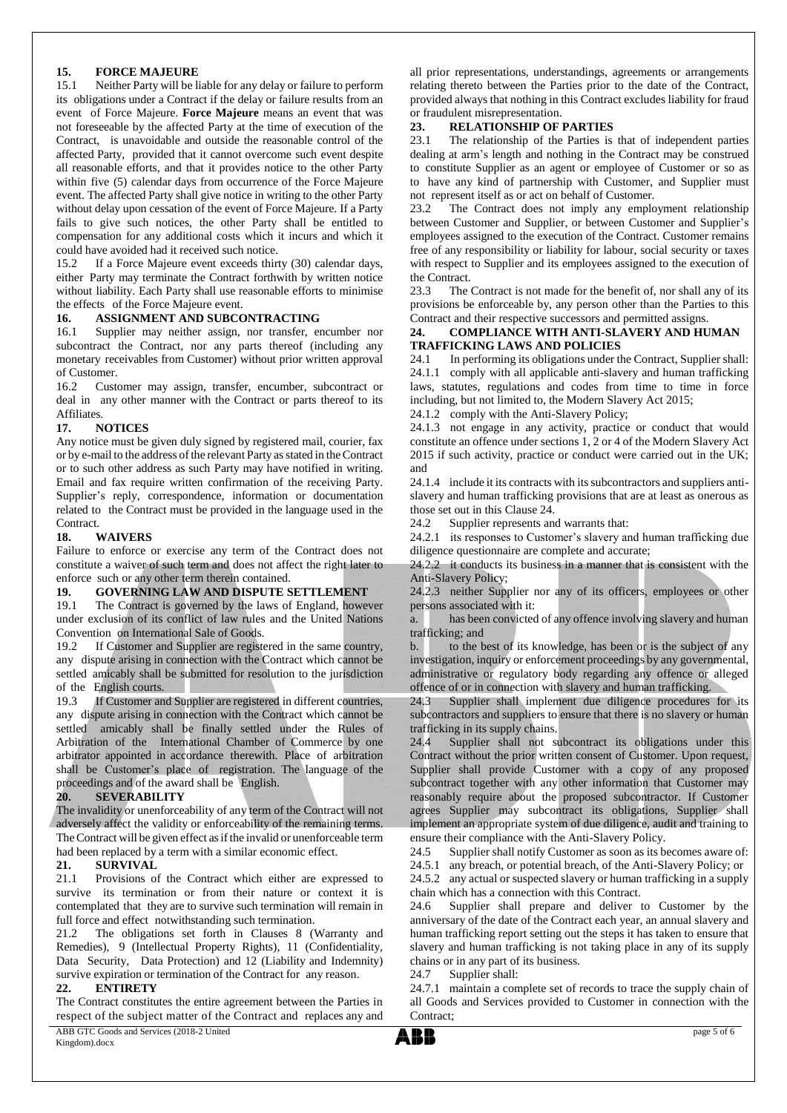# **15. FORCE MAJEURE**<br>15.1 **Neither Party will be li**

Neither Party will be liable for any delay or failure to perform its obligations under a Contract if the delay or failure results from an event of Force Majeure. **Force Majeure** means an event that was not foreseeable by the affected Party at the time of execution of the Contract, is unavoidable and outside the reasonable control of the affected Party, provided that it cannot overcome such event despite all reasonable efforts, and that it provides notice to the other Party within five (5) calendar days from occurrence of the Force Majeure event. The affected Party shall give notice in writing to the other Party without delay upon cessation of the event of Force Majeure. If a Party fails to give such notices, the other Party shall be entitled to compensation for any additional costs which it incurs and which it could have avoided had it received such notice.

15.2 If a Force Majeure event exceeds thirty (30) calendar days, either Party may terminate the Contract forthwith by written notice without liability. Each Party shall use reasonable efforts to minimise the effects of the Force Majeure event.

#### **16. ASSIGNMENT AND SUBCONTRACTING**

16.1 Supplier may neither assign, nor transfer, encumber nor subcontract the Contract, nor any parts thereof (including any monetary receivables from Customer) without prior written approval of Customer.

16.2 Customer may assign, transfer, encumber, subcontract or deal in any other manner with the Contract or parts thereof to its Affiliates.

# **17. NOTICES**

Any notice must be given duly signed by registered mail, courier, fax or by e-mail to the address of the relevant Party as stated in the Contract or to such other address as such Party may have notified in writing. Email and fax require written confirmation of the receiving Party. Supplier's reply, correspondence, information or documentation related to the Contract must be provided in the language used in the Contract.

### **18. WAIVERS**

Failure to enforce or exercise any term of the Contract does not constitute a waiver of such term and does not affect the right later to enforce such or any other term therein contained.

#### **19. GOVERNING LAW AND DISPUTE SETTLEMENT**

19.1 The Contract is governed by the laws of England, however under exclusion of its conflict of law rules and the United Nations Convention on International Sale of Goods.

19.2 If Customer and Supplier are registered in the same country, any dispute arising in connection with the Contract which cannot be settled amicably shall be submitted for resolution to the jurisdiction of the English courts.

19.3 If Customer and Supplier are registered in different countries, any dispute arising in connection with the Contract which cannot be settled amicably shall be finally settled under the Rules of Arbitration of the International Chamber of Commerce by one arbitrator appointed in accordance therewith. Place of arbitration shall be Customer's place of registration. The language of the proceedings and of the award shall be English.

# **20. SEVERABILITY**

The invalidity or unenforceability of any term of the Contract will not adversely affect the validity or enforceability of the remaining terms. The Contract will be given effect as if the invalid or unenforceable term had been replaced by a term with a similar economic effect.

#### **21. SURVIVAL**

21.1 Provisions of the Contract which either are expressed to survive its termination or from their nature or context it is contemplated that they are to survive such termination will remain in full force and effect notwithstanding such termination.

21.2 The obligations set forth in Clauses 8 (Warranty and Remedies), 9 (Intellectual Property Rights), 11 (Confidentiality, Data Security, Data Protection) and 12 (Liability and Indemnity) survive expiration or termination of the Contract for any reason.

# **22. ENTIRETY**

ABB GTC Goods and Services (2018-2 United The Contract constitutes the entire agreement between the Parties in respect of the subject matter of the Contract and replaces any and all prior representations, understandings, agreements or arrangements relating thereto between the Parties prior to the date of the Contract, provided always that nothing in this Contract excludes liability for fraud

#### or fraudulent misrepresentation.<br>
23. RELATIONSHIP OF I **23. RELATIONSHIP OF PARTIES**

23.1 The relationship of the Parties is that of independent parties dealing at arm's length and nothing in the Contract may be construed to constitute Supplier as an agent or employee of Customer or so as to have any kind of partnership with Customer, and Supplier must not represent itself as or act on behalf of Customer.

23.2 The Contract does not imply any employment relationship between Customer and Supplier, or between Customer and Supplier's employees assigned to the execution of the Contract. Customer remains free of any responsibility or liability for labour, social security or taxes with respect to Supplier and its employees assigned to the execution of the Contract.

23.3 The Contract is not made for the benefit of, nor shall any of its provisions be enforceable by, any person other than the Parties to this Contract and their respective successors and permitted assigns.

#### **24. COMPLIANCE WITH ANTI-SLAVERY AND HUMAN TRAFFICKING LAWS AND POLICIES**

24.1 In performing its obligations under the Contract, Supplier shall: 24.1.1 comply with all applicable anti-slavery and human trafficking laws, statutes, regulations and codes from time to time in force including, but not limited to, the Modern Slavery Act 2015;

24.1.2 comply with the Anti-Slavery Policy;

24.1.3 not engage in any activity, practice or conduct that would constitute an offence under sections 1, 2 or 4 of the Modern Slavery Act 2015 if such activity, practice or conduct were carried out in the UK; and

24.1.4 include it its contracts with its subcontractors and suppliers antislavery and human trafficking provisions that are at least as onerous as those set out in this Clause 24.

24.2 Supplier represents and warrants that:

24.2.1 its responses to Customer's slavery and human trafficking due diligence questionnaire are complete and accurate;

24.2.2 it conducts its business in a manner that is consistent with the Anti-Slavery Policy;

24.2.3 neither Supplier nor any of its officers, employees or other persons associated with it:

a. has been convicted of any offence involving slavery and human trafficking; and

b. to the best of its knowledge, has been or is the subject of any investigation, inquiry or enforcement proceedings by any governmental, administrative or regulatory body regarding any offence or alleged offence of or in connection with slavery and human trafficking.

24.3 Supplier shall implement due diligence procedures for its subcontractors and suppliers to ensure that there is no slavery or human trafficking in its supply chains.

24.4 Supplier shall not subcontract its obligations under this Contract without the prior written consent of Customer. Upon request, Supplier shall provide Customer with a copy of any proposed subcontract together with any other information that Customer may reasonably require about the proposed subcontractor. If Customer agrees Supplier may subcontract its obligations, Supplier shall implement an appropriate system of due diligence, audit and training to ensure their compliance with the Anti-Slavery Policy.

24.5 Supplier shall notify Customer as soon as its becomes aware of:

24.5.1 any breach, or potential breach, of the Anti-Slavery Policy; or

24.5.2 any actual or suspected slavery or human trafficking in a supply chain which has a connection with this Contract.

24.6 Supplier shall prepare and deliver to Customer by the anniversary of the date of the Contract each year, an annual slavery and human trafficking report setting out the steps it has taken to ensure that slavery and human trafficking is not taking place in any of its supply chains or in any part of its business.

24.7 Supplier shall:

24.7.1 maintain a complete set of records to trace the supply chain of all Goods and Services provided to Customer in connection with the Contract;



Kingdom).docx